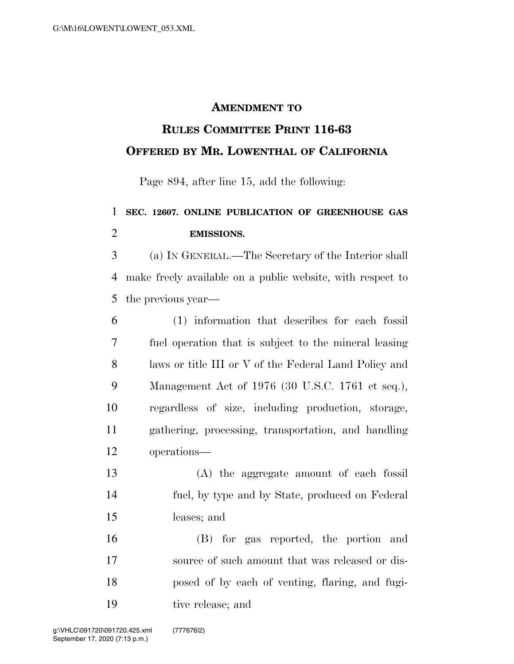## **AMENDMENT TO**

## **RULES COMMITTEE PRINT 116-63 OFFERED BY MR. LOWENTHAL OF CALIFORNIA**

Page 894, after line 15, add the following:

## **SEC. 12607. ONLINE PUBLICATION OF GREENHOUSE GAS EMISSIONS.**

 (a) IN GENERAL.—The Secretary of the Interior shall make freely available on a public website, with respect to the previous year—

 (1) information that describes for each fossil fuel operation that is subject to the mineral leasing laws or title III or V of the Federal Land Policy and Management Act of 1976 (30 U.S.C. 1761 et seq.), regardless of size, including production, storage, gathering, processing, transportation, and handling operations—

 (A) the aggregate amount of each fossil fuel, by type and by State, produced on Federal leases; and

 (B) for gas reported, the portion and source of such amount that was released or dis- posed of by each of venting, flaring, and fugi-tive release; and